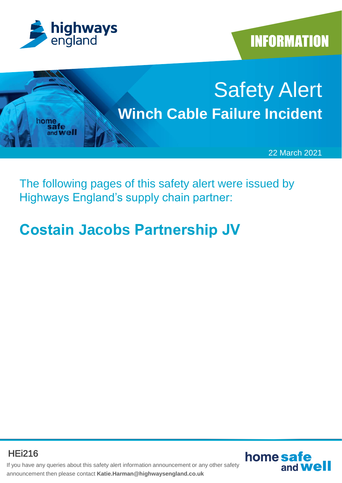

**INFORMATION** 



The following pages of this safety alert were issued by Highways England's supply chain partner:

# **Costain Jacobs Partnership JV**

HEi216



If you have any queries about this safety alert information announcement or any other safety announcement then please contact **Katie.Harman@highwaysengland.co.uk**